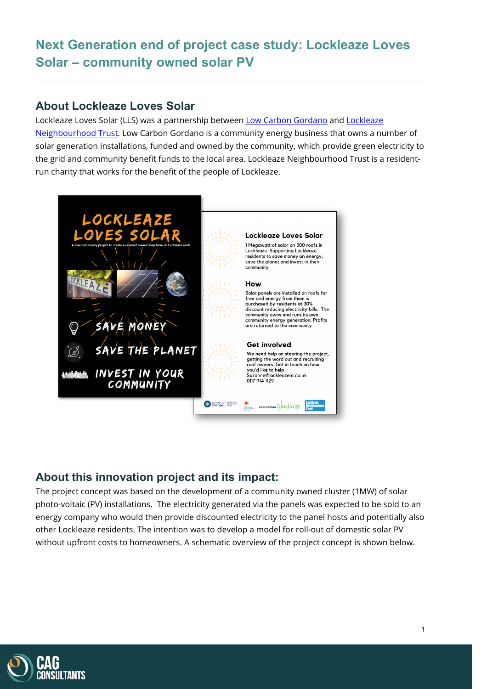# **Next Generation end of project case study: Lockleaze Loves Solar – community owned solar PV**

### **About Lockleaze Loves Solar**

Lockleaze Loves Solar (LLS) was a partnership between [Low Carbon Gordano](http://lowcarbongordano.co.uk/) and Lockleaze [Neighbourhood Trust.](https://www.lockleazehub.org.uk/) Low Carbon Gordano is a community energy business that owns a number of solar generation installations, funded and owned by the community, which provide green electricity to the grid and community benefit funds to the local area. Lockleaze Neighbourhood Trust is a residentrun charity that works for the benefit of the people of Lockleaze.



### **About this innovation project and its impact:**

The project concept was based on the development of a community owned cluster (1MW) of solar photo-voltaic (PV) installations. The electricity generated via the panels was expected to be sold to an energy company who would then provide discounted electricity to the panel hosts and potentially also other Lockleaze residents. The intention was to develop a model for roll-out of domestic solar PV without upfront costs to homeowners. A schematic overview of the project concept is shown below.

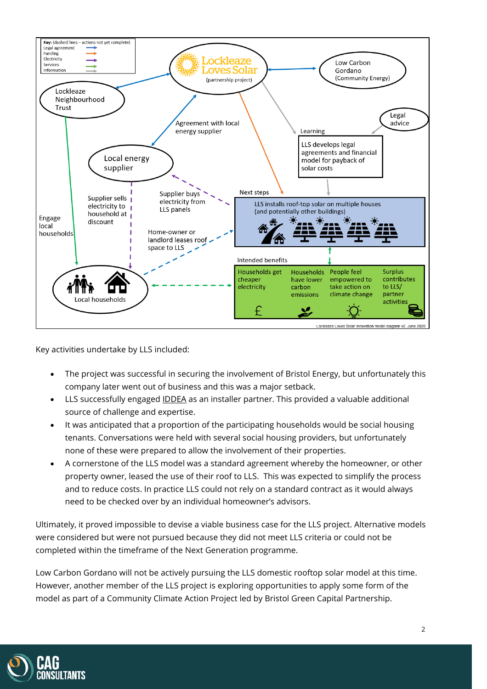

Key activities undertake by LLS included:

- The project was successful in securing the involvement of Bristol Energy, but unfortunately this company later went out of business and this was a major setback.
- LLS successfully engaged <u>IDDEA</u> as an installer partner. This provided a valuable additional source of challenge and expertise.
- It was anticipated that a proportion of the participating households would be social housing tenants. Conversations were held with several social housing providers, but unfortunately none of these were prepared to allow the involvement of their properties.
- A cornerstone of the LLS model was a standard agreement whereby the homeowner, or other property owner, leased the use of their roof to LLS. This was expected to simplify the process and to reduce costs. In practice LLS could not rely on a standard contract as it would always need to be checked over by an individual homeowner's advisors.

Ultimately, it proved impossible to devise a viable business case for the LLS project. Alternative models were considered but were not pursued because they did not meet LLS criteria or could not be completed within the timeframe of the Next Generation programme.

Low Carbon Gordano will not be actively pursuing the LLS domestic rooftop solar model at this time. However, another member of the LLS project is exploring opportunities to apply some form of the model as part of a Community Climate Action Project led by Bristol Green Capital Partnership.